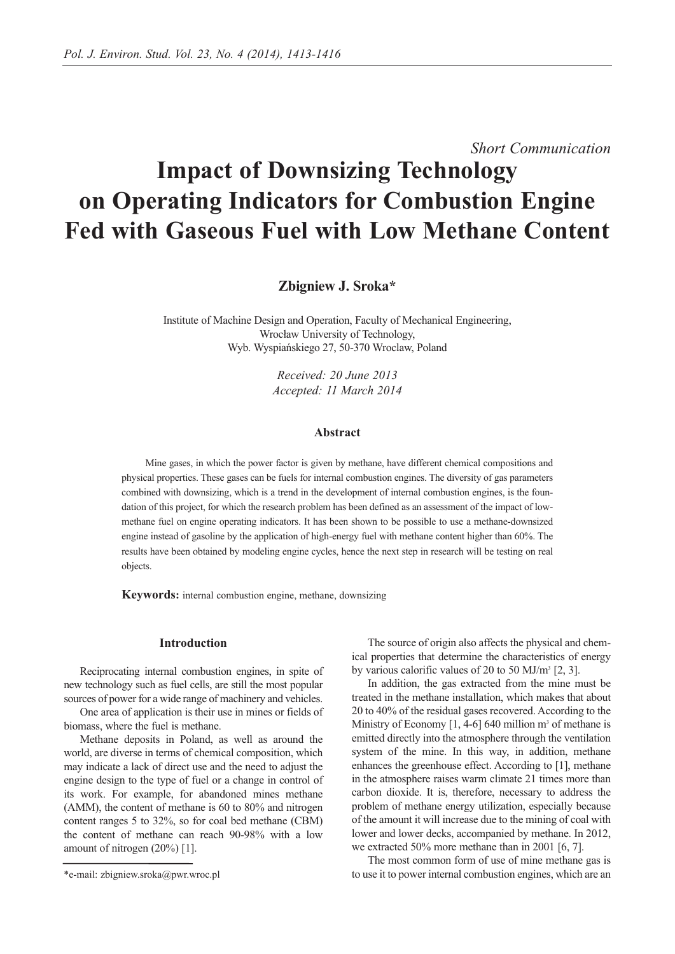*Short Communication*

# **Impact of Downsizing Technology on Operating Indicators for Combustion Engine Fed with Gaseous Fuel with Low Methane Content**

**Zbigniew J. Sroka\***

Institute of Machine Design and Operation, Faculty of Mechanical Engineering, Wrocław University of Technology, Wyb. Wyspiańskiego 27, 50-370 Wroclaw, Poland

> *Received: 20 June 2013 Accepted: 11 March 2014*

# **Abstract**

Mine gases, in which the power factor is given by methane, have different chemical compositions and physical properties. These gases can be fuels for internal combustion engines. The diversity of gas parameters combined with downsizing, which is a trend in the development of internal combustion engines, is the foundation of this project, for which the research problem has been defined as an assessment of the impact of lowmethane fuel on engine operating indicators. It has been shown to be possible to use a methane-downsized engine instead of gasoline by the application of high-energy fuel with methane content higher than 60%. The results have been obtained by modeling engine cycles, hence the next step in research will be testing on real objects.

**Keywords:** internal combustion engine, methane, downsizing

# **Introduction**

Reciprocating internal combustion engines, in spite of new technology such as fuel cells, are still the most popular sources of power for a wide range of machinery and vehicles.

One area of application is their use in mines or fields of biomass, where the fuel is methane.

Methane deposits in Poland, as well as around the world, are diverse in terms of chemical composition, which may indicate a lack of direct use and the need to adjust the engine design to the type of fuel or a change in control of its work. For example, for abandoned mines methane (AMM), the content of methane is 60 to 80% and nitrogen content ranges 5 to 32%, so for coal bed methane (CBM) the content of methane can reach 90-98% with a low amount of nitrogen (20%) [1].

The source of origin also affects the physical and chemical properties that determine the characteristics of energy by various calorific values of 20 to 50 MJ/m<sup>3</sup> [2, 3].

In addition, the gas extracted from the mine must be treated in the methane installation, which makes that about 20 to 40% of the residual gases recovered. According to the Ministry of Economy  $[1, 4-6]$  640 million m<sup>3</sup> of methane is emitted directly into the atmosphere through the ventilation system of the mine. In this way, in addition, methane enhances the greenhouse effect. According to [1], methane in the atmosphere raises warm climate 21 times more than carbon dioxide. It is, therefore, necessary to address the problem of methane energy utilization, especially because of the amount it will increase due to the mining of coal with lower and lower decks, accompanied by methane. In 2012, we extracted 50% more methane than in 2001 [6, 7].

The most common form of use of mine methane gas is to use it to power internal combustion engines, which are an

<sup>\*</sup>e-mail: zbigniew.sroka@pwr.wroc.pl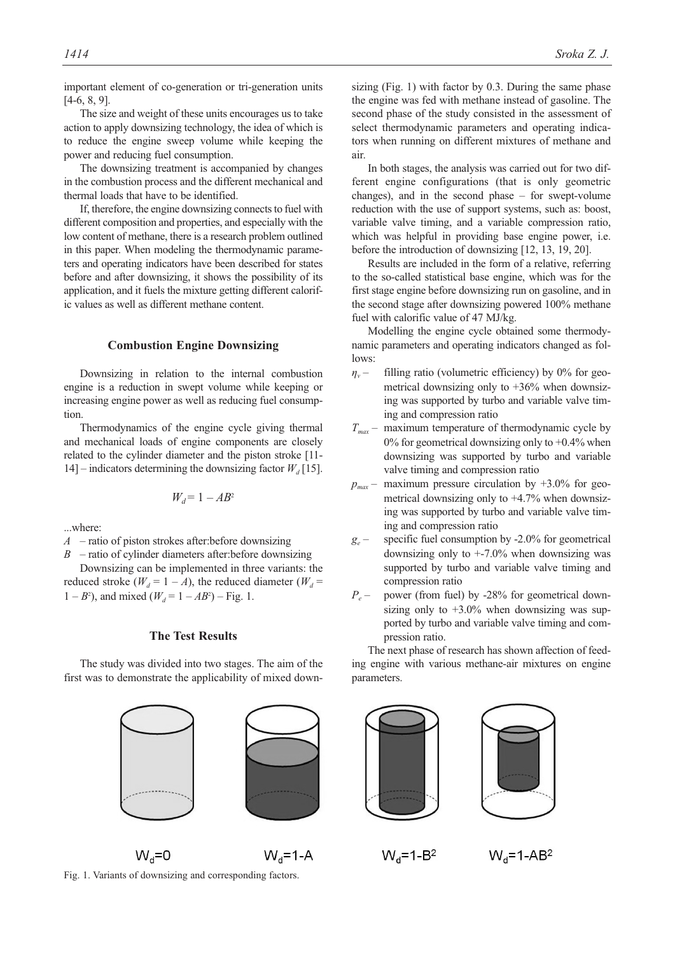important element of co-generation or tri-generation units [4-6, 8, 9].

The size and weight of these units encourages us to take action to apply downsizing technology, the idea of which is to reduce the engine sweep volume while keeping the power and reducing fuel consumption.

The downsizing treatment is accompanied by changes in the combustion process and the different mechanical and thermal loads that have to be identified.

If, therefore, the engine downsizing connects to fuel with different composition and properties, and especially with the low content of methane, there is a research problem outlined in this paper. When modeling the thermodynamic parameters and operating indicators have been described for states before and after downsizing, it shows the possibility of its application, and it fuels the mixture getting different calorific values as well as different methane content.

#### **Combustion Engine Downsizing**

Downsizing in relation to the internal combustion engine is a reduction in swept volume while keeping or increasing engine power as well as reducing fuel consumption.

Thermodynamics of the engine cycle giving thermal and mechanical loads of engine components are closely related to the cylinder diameter and the piston stroke [11- 14] – indicators determining the downsizing factor  $W_d$  [15].

$$
W_d = 1 - AB^2
$$

...where:

*A* – ratio of piston strokes after:before downsizing

*B* – ratio of cylinder diameters after:before downsizing

Downsizing can be implemented in three variants: the reduced stroke  $(W_d = 1 - A)$ , the reduced diameter  $(W_d =$  $1 - B^2$ ), and mixed ( $W_d = 1 - AB^2$ ) – Fig. 1.

### **The Test Results**

The study was divided into two stages. The aim of the first was to demonstrate the applicability of mixed downsizing (Fig. 1) with factor by 0.3. During the same phase the engine was fed with methane instead of gasoline. The second phase of the study consisted in the assessment of select thermodynamic parameters and operating indicators when running on different mixtures of methane and air.

In both stages, the analysis was carried out for two different engine configurations (that is only geometric changes), and in the second phase – for swept-volume reduction with the use of support systems, such as: boost, variable valve timing, and a variable compression ratio, which was helpful in providing base engine power, i.e. before the introduction of downsizing [12, 13, 19, 20].

Results are included in the form of a relative, referring to the so-called statistical base engine, which was for the first stage engine before downsizing run on gasoline, and in the second stage after downsizing powered 100% methane fuel with calorific value of 47 MJ/kg.

Modelling the engine cycle obtained some thermodynamic parameters and operating indicators changed as follows:

- *ηv* filling ratio (volumetric efficiency) by 0% for geometrical downsizing only to  $+36\%$  when downsizing was supported by turbo and variable valve timing and compression ratio
- $T_{\text{max}}$  maximum temperature of thermodynamic cycle by 0% for geometrical downsizing only to  $+0.4%$  when downsizing was supported by turbo and variable valve timing and compression ratio
- $p_{max}$  maximum pressure circulation by  $+3.0\%$  for geometrical downsizing only to +4.7% when downsizing was supported by turbo and variable valve timing and compression ratio
- *ge* specific fuel consumption by -2.0% for geometrical downsizing only to +-7.0% when downsizing was supported by turbo and variable valve timing and compression ratio
- *P<sub>e</sub>* power (from fuel) by -28% for geometrical downsizing only to  $+3.0\%$  when downsizing was supported by turbo and variable valve timing and compression ratio.

The next phase of research has shown affection of feeding engine with various methane-air mixtures on engine parameters.

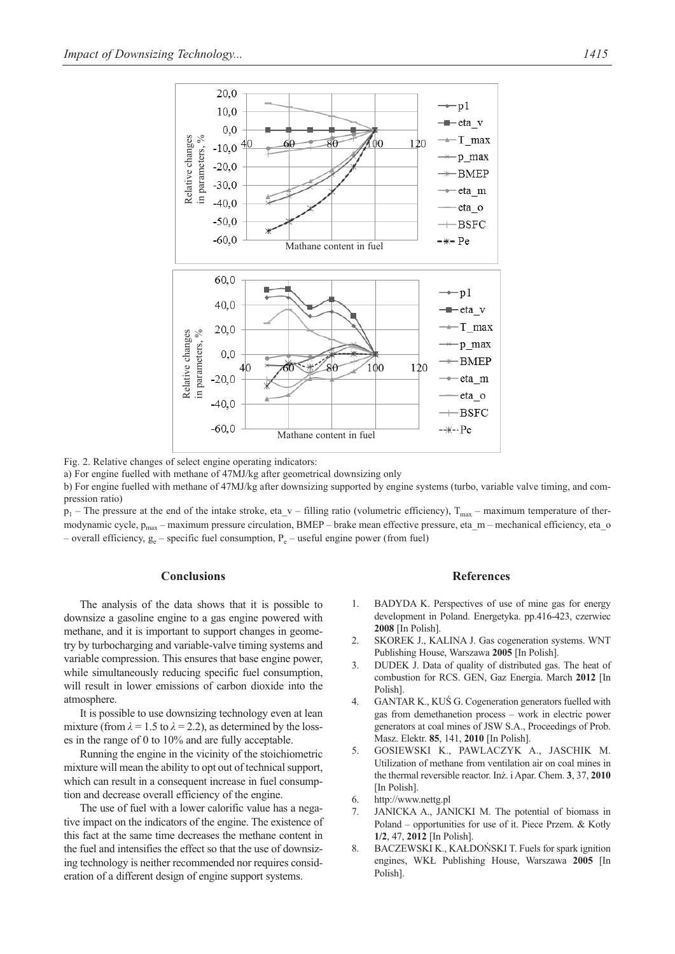

Fig. 2. Relative changes of select engine operating indicators:

a) For engine fuelled with methane of 47MJ/kg after geometrical downsizing only

b) For engine fuelled with methane of 47MJ/kg after downsizing supported by engine systems (turbo, variable valve timing, and compression ratio)

 $p_1$  – The pressure at the end of the intake stroke, eta\_v – filling ratio (volumetric efficiency),  $T_{\text{max}}$  – maximum temperature of thermodynamic cycle,  $p_{max}$  – maximum pressure circulation, BMEP – brake mean effective pressure, eta\_m – mechanical efficiency, eta\_o

# **Conclusions**

The analysis of the data shows that it is possible to downsize a gasoline engine to a gas engine powered with methane, and it is important to support changes in geometry by turbocharging and variable-valve timing systems and variable compression. This ensures that base engine power, while simultaneously reducing specific fuel consumption, will result in lower emissions of carbon dioxide into the atmosphere.

It is possible to use downsizing technology even at lean mixture (from  $\lambda = 1.5$  to  $\lambda = 2.2$ ), as determined by the losses in the range of 0 to 10% and are fully acceptable.

Running the engine in the vicinity of the stoichiometric mixture will mean the ability to opt out of technical support, which can result in a consequent increase in fuel consumption and decrease overall efficiency of the engine.

The use of fuel with a lower calorific value has a negative impact on the indicators of the engine. The existence of this fact at the same time decreases the methane content in the fuel and intensifies the effect so that the use of downsizing technology is neither recommended nor requires consideration of a different design of engine support systems.

# **References**

- 1. BADYDA K. Perspectives of use of mine gas for energy development in Poland. Energetyka. pp.416-423, czerwiec **2008** [In Polish].
- 2. SKOREK J., KALINA J. Gas cogeneration systems. WNT Publishing House, Warszawa **2005** [In Polish].
- 3. DUDEK J. Data of quality of distributed gas. The heat of combustion for RCS. GEN, Gaz Energia. March **2012** [In Polish].
- 4. GANTAR K., KUŚ G. Cogeneration generators fuelled with gas from demethanetion process – work in electric power generators at coal mines of JSW S.A., Proceedings of Prob. Masz. Elektr. **85**, 141, **2010** [In Polish].
- 5. GOSIEWSKI K., PAWLACZYK A., JASCHIK M. Utilization of methane from ventilation air on coal mines in the thermal reversible reactor. Inż. i Apar. Chem. **3**, 37, **2010** [In Polish]
- 6. http://www.nettg.pl
- 7. JANICKA A., JANICKI M. The potential of biomass in Poland – opportunities for use of it. Piece Przem. & Kotły **1/2**, 47, **2012** [In Polish].
- 8. BACZEWSKI K., KAŁDOŃSKI T. Fuels for spark ignition engines, WKŁ Publishing House, Warszawa **2005** [In Polish].